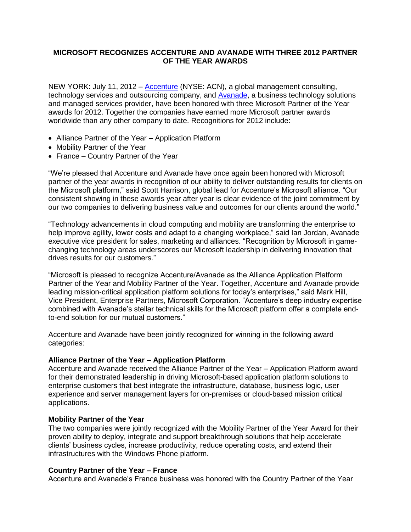# **MICROSOFT RECOGNIZES ACCENTURE AND AVANADE WITH THREE 2012 PARTNER OF THE YEAR AWARDS**

NEW YORK: July 11, 2012 – [Accenture](http://www.accenture.com/us-en/pages/index.aspx) (NYSE: ACN), a global management consulting, technology services and outsourcing company, and [Avanade,](http://www.avanade.com/en-us/Pages/default.aspx) a business technology solutions and managed services provider, have been honored with three Microsoft Partner of the Year awards for 2012. Together the companies have earned more Microsoft partner awards worldwide than any other company to date. Recognitions for 2012 include:

- Alliance Partner of the Year Application Platform
- Mobility Partner of the Year
- France Country Partner of the Year

"We're pleased that Accenture and Avanade have once again been honored with Microsoft partner of the year awards in recognition of our ability to deliver outstanding results for clients on the Microsoft platform," said Scott Harrison, global lead for Accenture's Microsoft alliance. "Our consistent showing in these awards year after year is clear evidence of the joint commitment by our two companies to delivering business value and outcomes for our clients around the world."

"Technology advancements in cloud computing and mobility are transforming the enterprise to help improve agility, lower costs and adapt to a changing workplace," said Ian Jordan, Avanade executive vice president for sales, marketing and alliances. "Recognition by Microsoft in gamechanging technology areas underscores our Microsoft leadership in delivering innovation that drives results for our customers."

"Microsoft is pleased to recognize Accenture/Avanade as the Alliance Application Platform Partner of the Year and Mobility Partner of the Year. Together, Accenture and Avanade provide leading mission-critical application platform solutions for today's enterprises," said Mark Hill, Vice President, Enterprise Partners, Microsoft Corporation. "Accenture's deep industry expertise combined with Avanade's stellar technical skills for the Microsoft platform offer a complete endto-end solution for our mutual customers."

Accenture and Avanade have been jointly recognized for winning in the following award categories:

## **Alliance Partner of the Year – Application Platform**

Accenture and Avanade received the Alliance Partner of the Year – Application Platform award for their demonstrated leadership in driving Microsoft-based application platform solutions to enterprise customers that best integrate the infrastructure, database, business logic, user experience and server management layers for on-premises or cloud-based mission critical applications.

## **Mobility Partner of the Year**

The two companies were jointly recognized with the Mobility Partner of the Year Award for their proven ability to deploy, integrate and support breakthrough solutions that help accelerate clients' business cycles, increase productivity, reduce operating costs, and extend their infrastructures with the Windows Phone platform.

## **Country Partner of the Year – France**

Accenture and Avanade's France business was honored with the Country Partner of the Year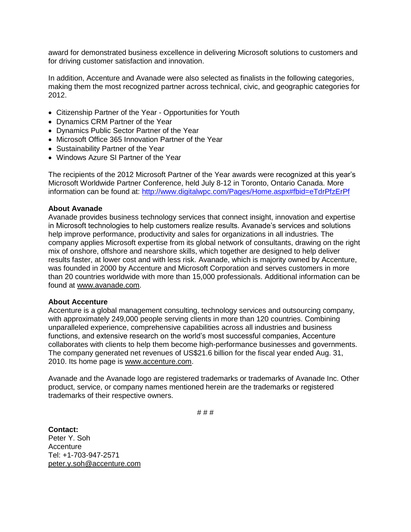award for demonstrated business excellence in delivering Microsoft solutions to customers and for driving customer satisfaction and innovation.

In addition, Accenture and Avanade were also selected as finalists in the following categories, making them the most recognized partner across technical, civic, and geographic categories for 2012.

- Citizenship Partner of the Year Opportunities for Youth
- Dynamics CRM Partner of the Year
- Dynamics Public Sector Partner of the Year
- Microsoft Office 365 Innovation Partner of the Year
- Sustainability Partner of the Year
- Windows Azure SI Partner of the Year

The recipients of the 2012 Microsoft Partner of the Year awards were recognized at this year's Microsoft Worldwide Partner Conference, held July 8-12 in Toronto, Ontario Canada. More information can be found at: <http://www.digitalwpc.com/Pages/Home.aspx#fbid=eTdrPfzErPf>

## **About Avanade**

Avanade provides business technology services that connect insight, innovation and expertise in Microsoft technologies to help customers realize results. Avanade's services and solutions help improve performance, productivity and sales for organizations in all industries. The company applies Microsoft expertise from its global network of consultants, drawing on the right mix of onshore, offshore and nearshore skills, which together are designed to help deliver results faster, at lower cost and with less risk. Avanade, which is majority owned by Accenture, was founded in 2000 by Accenture and Microsoft Corporation and serves customers in more than 20 countries worldwide with more than 15,000 professionals. Additional information can be found at [www.avanade.com.](http://www.avanade.com/)

## **About Accenture**

Accenture is a global management consulting, technology services and outsourcing company, with approximately 249,000 people serving clients in more than 120 countries. Combining unparalleled experience, comprehensive capabilities across all industries and business functions, and extensive research on the world's most successful companies, Accenture collaborates with clients to help them become high-performance businesses and governments. The company generated net revenues of US\$21.6 billion for the fiscal year ended Aug. 31, 2010. Its home page is [www.accenture.com.](http://www.accenture.com/)

Avanade and the Avanade logo are registered trademarks or trademarks of Avanade Inc. Other product, service, or company names mentioned herein are the trademarks or registered trademarks of their respective owners.

# # #

**Contact:** Peter Y. Soh **Accenture** Tel: +1-703-947-2571 [peter.y.soh@accenture.com](mailto:peter.y.soh@accenture.com)